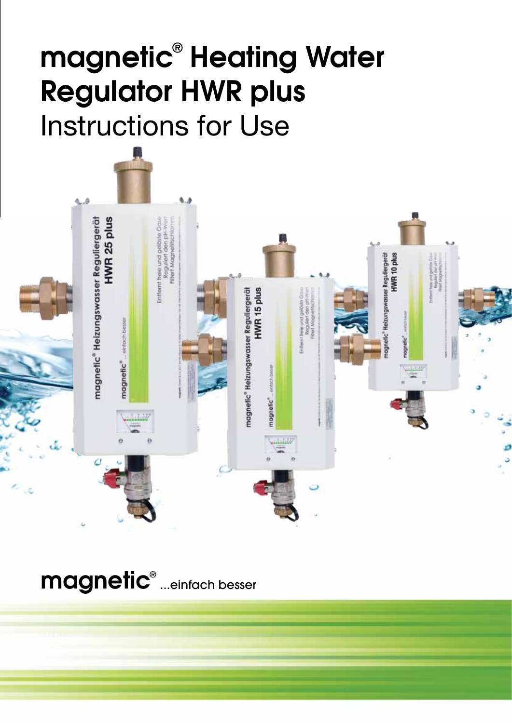# magnetic® Heating Water Regulator HWR plus Instructions for Use



magnetic® ...einfach besser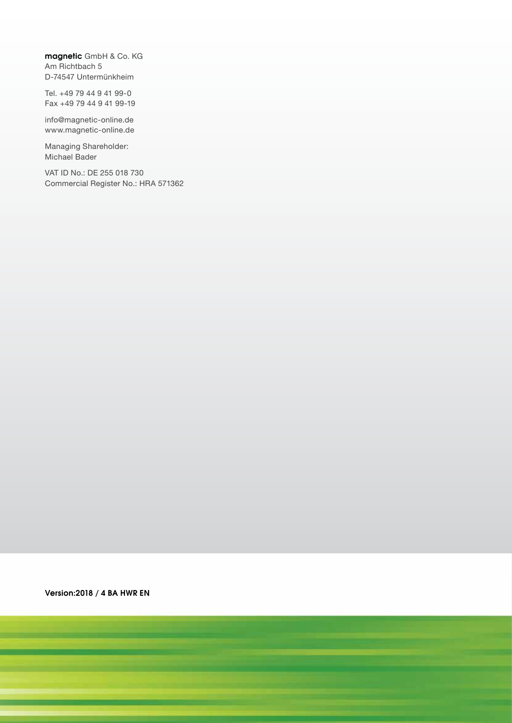magnetic GmbH & Co. KG Am Richtbach 5 D-74547 Untermünkheim

Tel. +49 79 44 9 41 99-0 Fax +49 79 44 9 41 99-19

info@magnetic-online.de www.magnetic-online.de

Managing Shareholder: Michael Bader

VAT ID No.: DE 255 018 730 Commercial Register No.: HRA 571362

Version:2018 / 4 BA HWR EN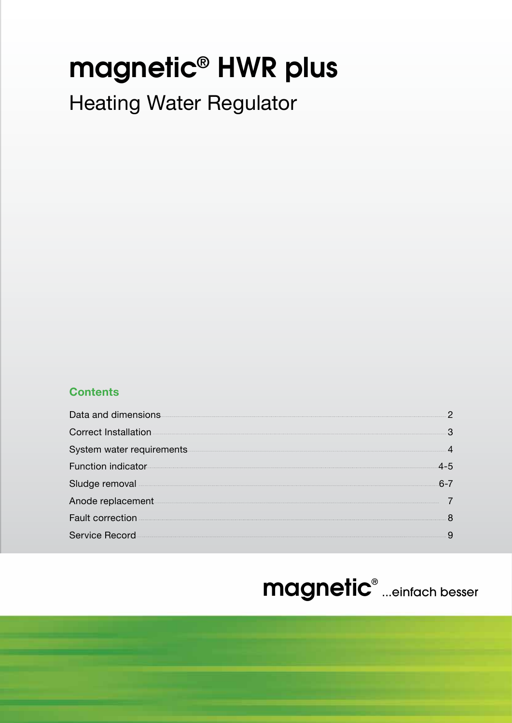# magnetic**®** HWR plus

## Heating Water Regulator

## **Contents**

| Data and dimensions                                                                                                                                                                                                                  | റ |
|--------------------------------------------------------------------------------------------------------------------------------------------------------------------------------------------------------------------------------------|---|
| <b>Correct Installation</b>                                                                                                                                                                                                          |   |
|                                                                                                                                                                                                                                      |   |
| Function indicator                                                                                                                                                                                                                   |   |
|                                                                                                                                                                                                                                      |   |
| Anode replacement <b>Annual Line and Annual Line and Annual Line and Annual Line and Annual Line and Annual Line and Annual Line and Annual Line and Annual Line and Annual Line and Annual Line and Annual Line and Annual Line</b> |   |
| <b>Fault correction</b>                                                                                                                                                                                                              |   |
| Service Record                                                                                                                                                                                                                       |   |
|                                                                                                                                                                                                                                      |   |

## magnetic® ...einfach besser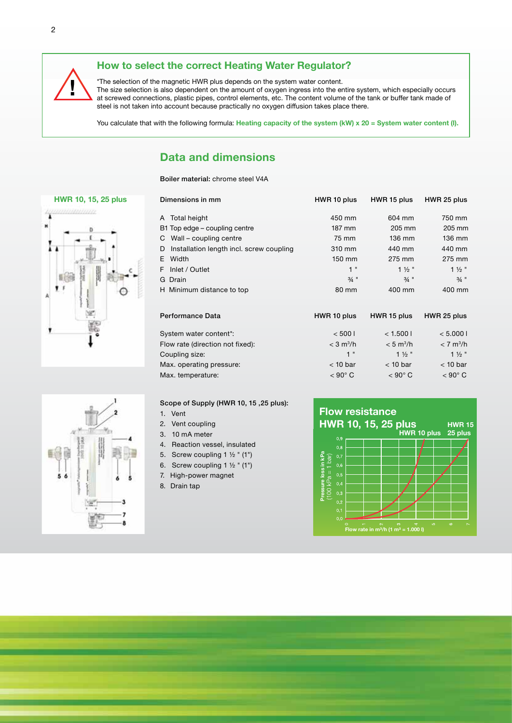## **! How to select the correct Heating Water Regulator?**

\*The selection of the magnetic HWR plus depends on the system water content. The size selection is also dependent on the amount of oxygen ingress into the entire system, which especially occurs at screwed connections, plastic pipes, control elements, etc. The content volume of the tank or buffer tank made of steel is not taken into account because practically no oxygen diffusion takes place there.

You calculate that with the following formula: Heating capacity of the system (kW) x 20 = System water content (I).

### **Data and dimensions**

Boiler material: chrome steel V4A





| Dimensions in mm                           | HWR 10 plus             | HWR 15 plus             | HWR 25 plus           |
|--------------------------------------------|-------------------------|-------------------------|-----------------------|
| A Total height                             | 450 mm                  | 604 mm                  | 750 mm                |
| B1 Top edge – coupling centre              | 187 mm                  | 205 mm                  | 205 mm                |
| C Wall – coupling centre                   | 75 mm                   | 136 mm                  | 136 mm                |
| D Installation length incl. screw coupling | 310 mm                  | 440 mm                  | 440 mm                |
| E Width                                    | 150 mm                  | 275 mm                  | 275 mm                |
| F Inlet / Outlet                           | 1"                      | $1\frac{1}{2}$          | $1\frac{1}{2}$        |
| G Drain                                    | $3/4$ "                 | $3/4$ "                 | $3/4$ "               |
| H Minimum distance to top                  | 80 mm                   | 400 mm                  | 400 mm                |
| Performance Data                           | HWR 10 plus             | HWR 15 plus             | HWR 25 plus           |
| System water content*:                     | < 5001                  | < 1.5001                | < 5.0001              |
| Flow rate (direction not fixed):           | $<$ 3 m <sup>3</sup> /h | $< 5$ m <sup>3</sup> /h | < 7 m <sup>3</sup> /h |
| Coupling size:                             | 1"                      | $1\frac{1}{2}$          | $1\frac{1}{2}$        |
| Max. operating pressure:                   | $<$ 10 bar              | $<$ 10 bar              | $<$ 10 bar            |
| Max. temperature:                          | $< 90^{\circ}$ C        | $< 90^{\circ}$ C        | $<$ 90 $^{\circ}$ C   |



Scope of Supply (HWR 10, 15 ,25 plus):

- 1. Vent
- 2. Vent coupling

3. 10 mA meter

- 4. Reaction vessel, insulated
- 5. Screw coupling 1 ½ " (1")
- 6. Screw coupling  $1 \frac{1}{2}$  " (1")
- 7. High-power magnet
- 8. Drain tap





2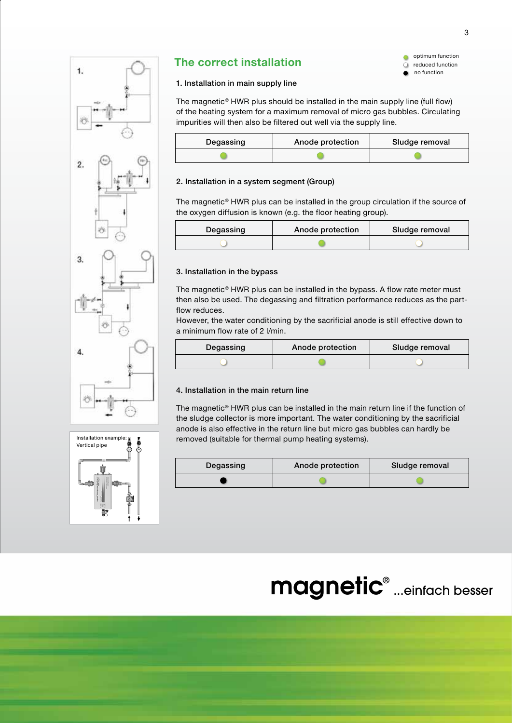



## **The correct installation**

optimum function reduced function  $\Omega$ no function  $\bullet$ 

#### 1. Installation in main supply line

The magnetic® HWR plus should be installed in the main supply line (full flow) of the heating system for a maximum removal of micro gas bubbles. Circulating impurities will then also be filtered out well via the supply line.

| Degassing | Anode protection | Sludge removal |
|-----------|------------------|----------------|
|           |                  |                |

#### 2. Installation in a system segment (Group)

The magnetic® HWR plus can be installed in the group circulation if the source of the oxygen diffusion is known (e.g. the floor heating group).

| Degassing | Anode protection | Sludge removal |
|-----------|------------------|----------------|
|           |                  |                |

#### 3. Installation in the bypass

The magnetic® HWR plus can be installed in the bypass. A flow rate meter must then also be used. The degassing and filtration performance reduces as the partflow reduces.

However, the water conditioning by the sacrificial anode is still effective down to a minimum flow rate of 2 l/min.

| Degassing | Anode protection | Sludge removal |
|-----------|------------------|----------------|
|           |                  |                |

#### 4. Installation in the main return line

The magnetic® HWR plus can be installed in the main return line if the function of the sludge collector is more important. The water conditioning by the sacrificial anode is also effective in the return line but micro gas bubbles can hardly be removed (suitable for thermal pump heating systems).

| Degassing | Anode protection | Sludge removal |
|-----------|------------------|----------------|
|           |                  |                |

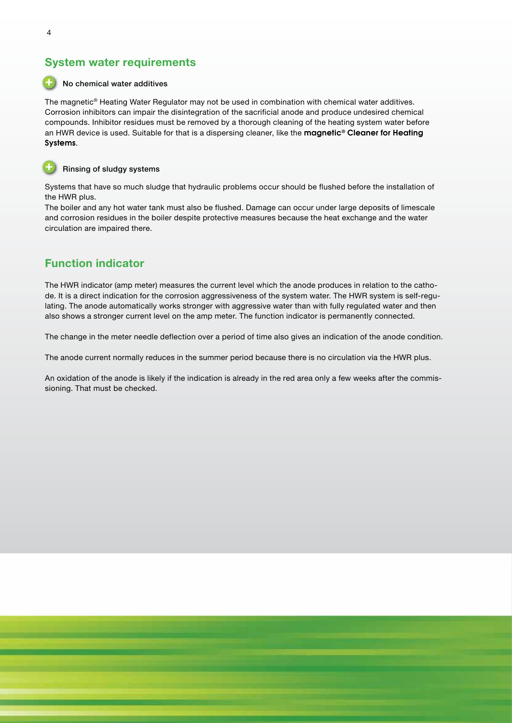### **System water requirements**

#### No chemical water additives

The magnetic® Heating Water Regulator may not be used in combination with chemical water additives. Corrosion inhibitors can impair the disintegration of the sacrificial anode and produce undesired chemical compounds. Inhibitor residues must be removed by a thorough cleaning of the heating system water before an HWR device is used. Suitable for that is a dispersing cleaner, like the magnetic® Cleaner for Heating Systems.



#### Rinsing of sludgy systems

Systems that have so much sludge that hydraulic problems occur should be flushed before the installation of the HWR plus.

The boiler and any hot water tank must also be flushed. Damage can occur under large deposits of limescale and corrosion residues in the boiler despite protective measures because the heat exchange and the water circulation are impaired there.

### **Function indicator**

The HWR indicator (amp meter) measures the current level which the anode produces in relation to the cathode. It is a direct indication for the corrosion aggressiveness of the system water. The HWR system is self-regulating. The anode automatically works stronger with aggressive water than with fully regulated water and then also shows a stronger current level on the amp meter. The function indicator is permanently connected.

The change in the meter needle deflection over a period of time also gives an indication of the anode condition.

The anode current normally reduces in the summer period because there is no circulation via the HWR plus.

An oxidation of the anode is likely if the indication is already in the red area only a few weeks after the commissioning. That must be checked.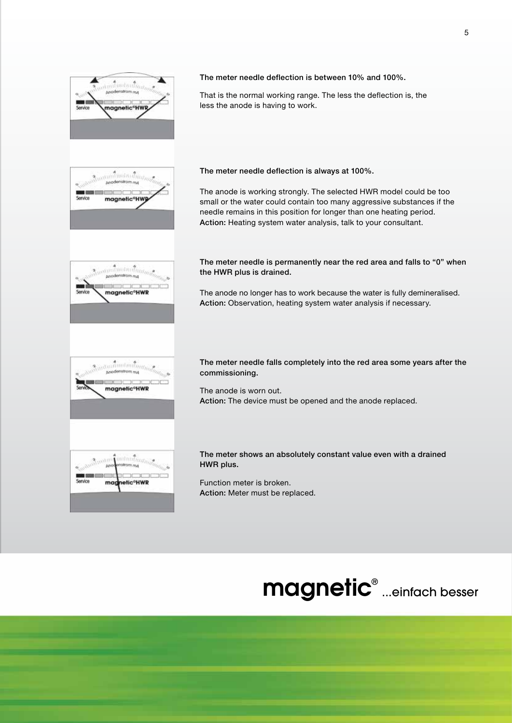

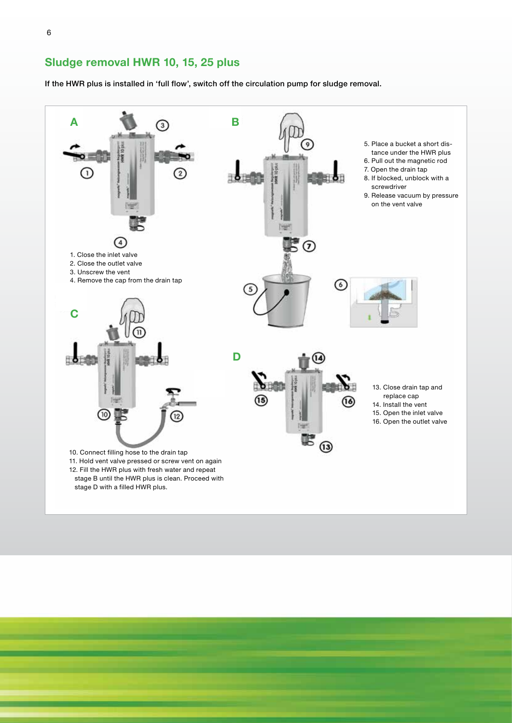**Sludge removal HWR 10, 15, 25 plus**

If the HWR plus is installed in 'full flow', switch off the circulation pump for sludge removal.

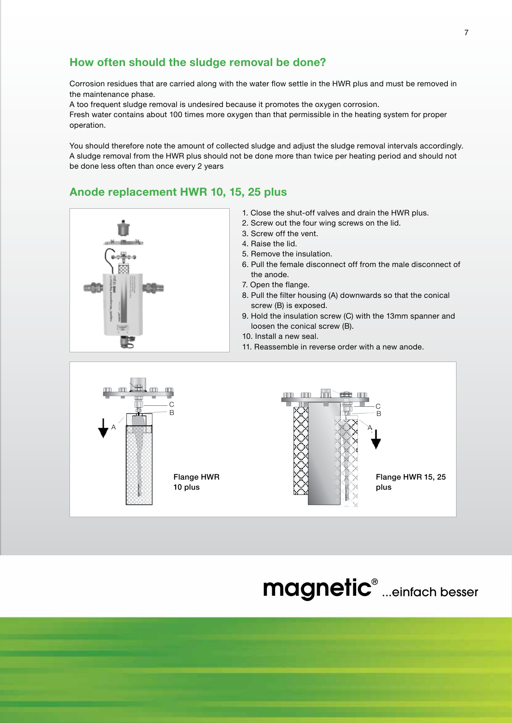## **How often should the sludge removal be done?**

Corrosion residues that are carried along with the water flow settle in the HWR plus and must be removed in the maintenance phase.

A too frequent sludge removal is undesired because it promotes the oxygen corrosion. Fresh water contains about 100 times more oxygen than that permissible in the heating system for proper operation.

You should therefore note the amount of collected sludge and adjust the sludge removal intervals accordingly. A sludge removal from the HWR plus should not be done more than twice per heating period and should not be done less often than once every 2 years

## **Anode replacement HWR 10, 15, 25 plus**



- 2. Screw out the four wing screws on the lid.
- 3. Screw off the vent.
- 4. Raise the lid.
- 5. Remove the insulation.
- 6. Pull the female disconnect off from the male disconnect of the anode.
- 7. Open the flange.
- 8. Pull the filter housing (A) downwards so that the conical screw (B) is exposed.
- 9. Hold the insulation screw (C) with the 13mm spanner and loosen the conical screw (B).
- 10. Install a new seal.
- 11. Reassemble in reverse order with a new anode.





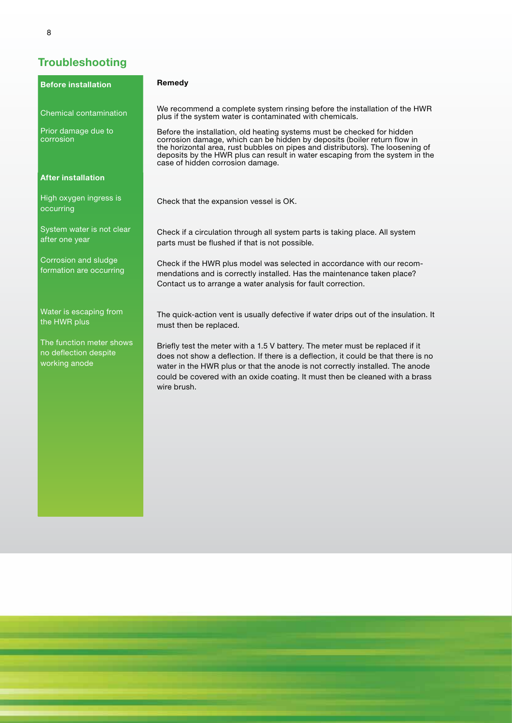## **Troubleshooting**

| <b>Before installation</b>                                         | Remedy                                                                                                                                                                                                                                                                                                                                                    |
|--------------------------------------------------------------------|-----------------------------------------------------------------------------------------------------------------------------------------------------------------------------------------------------------------------------------------------------------------------------------------------------------------------------------------------------------|
| <b>Chemical contamination</b>                                      | We recommend a complete system rinsing before the installation of the HWR<br>plus if the system water is contaminated with chemicals.                                                                                                                                                                                                                     |
| Prior damage due to<br>corrosion                                   | Before the installation, old heating systems must be checked for hidden<br>corrosion damage, which can be hidden by deposits (boiler return flow in<br>the horizontal area, rust bubbles on pipes and distributors). The loosening of<br>deposits by the HWR plus can result in water escaping from the system in the<br>case of hidden corrosion damage. |
| <b>After installation</b>                                          |                                                                                                                                                                                                                                                                                                                                                           |
| High oxygen ingress is<br>occurring                                | Check that the expansion vessel is OK.                                                                                                                                                                                                                                                                                                                    |
| System water is not clear<br>after one year                        | Check if a circulation through all system parts is taking place. All system<br>parts must be flushed if that is not possible.                                                                                                                                                                                                                             |
| Corrosion and sludge<br>formation are occurring                    | Check if the HWR plus model was selected in accordance with our recom-<br>mendations and is correctly installed. Has the maintenance taken place?<br>Contact us to arrange a water analysis for fault correction.                                                                                                                                         |
| Water is escaping from<br>the HWR plus                             | The quick-action vent is usually defective if water drips out of the insulation. It<br>must then be replaced.                                                                                                                                                                                                                                             |
| The function meter shows<br>no deflection despite<br>working anode | Briefly test the meter with a 1.5 V battery. The meter must be replaced if it<br>does not show a deflection. If there is a deflection, it could be that there is no<br>water in the HWR plus or that the anode is not correctly installed. The anode<br>could be covered with an oxide coating. It must then be cleaned with a brass<br>wire brush.       |
|                                                                    |                                                                                                                                                                                                                                                                                                                                                           |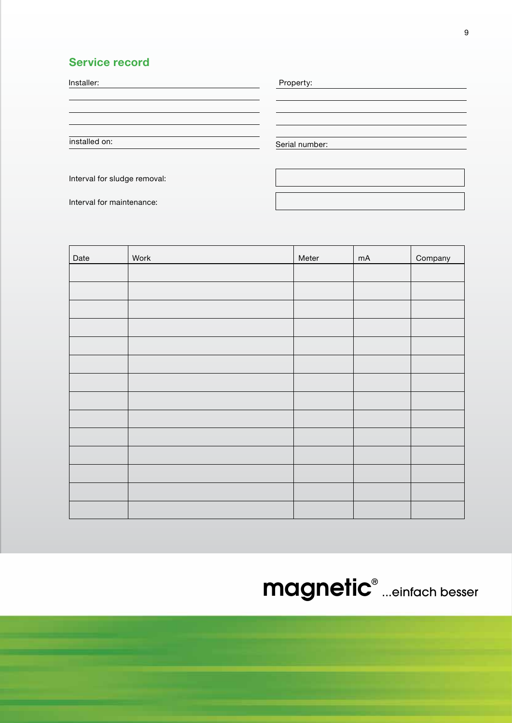## **Service record**

| Installer:    | Property:      |
|---------------|----------------|
|               |                |
|               |                |
| installed on: | Serial number: |
|               |                |

Interval for sludge removal:

Interval for maintenance:

| Date | Work | Meter | $mA$ | Company |
|------|------|-------|------|---------|
|      |      |       |      |         |
|      |      |       |      |         |
|      |      |       |      |         |
|      |      |       |      |         |
|      |      |       |      |         |
|      |      |       |      |         |
|      |      |       |      |         |
|      |      |       |      |         |
|      |      |       |      |         |
|      |      |       |      |         |
|      |      |       |      |         |
|      |      |       |      |         |
|      |      |       |      |         |
|      |      |       |      |         |

magnetic® ...einfach besser